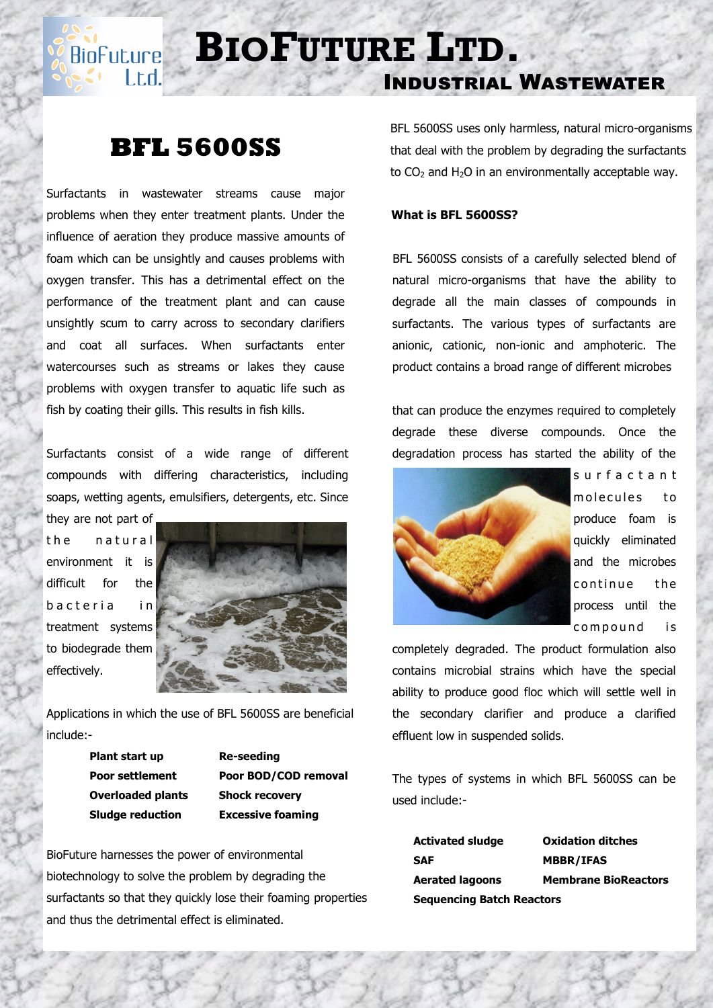# **BIOFUTURE** LTD.

## Industrial Wastewater

### **BFL 5600SS**

l.t.d.

Surfactants in wastewater streams cause major problems when they enter treatment plants. Under the influence of aeration they produce massive amounts of foam which can be unsightly and causes problems with oxygen transfer. This has a detrimental effect on the performance of the treatment plant and can cause unsightly scum to carry across to secondary clarifiers and coat all surfaces. When surfactants enter watercourses such as streams or lakes they cause problems with oxygen transfer to aquatic life such as fish by coating their gills. This results in fish kills.

Surfactants consist of a wide range of different compounds with differing characteristics, including soaps, wetting agents, emulsifiers, detergents, etc. Since they are not part of

the natural environment it is difficult for the b a c t e ria in treatment systems to biodegrade them effectively.



Applications in which the use of BFL 5600SS are beneficial include:-

> **Plant start up Re-seeding Overloaded plants Shock recovery**

**Poor settlement Poor BOD/COD removal Sludge reduction Excessive foaming**

BioFuture harnesses the power of environmental biotechnology to solve the problem by degrading the surfactants so that they quickly lose their foaming properties and thus the detrimental effect is eliminated.

BFL 5600SS uses only harmless, natural micro-organisms that deal with the problem by degrading the surfactants to  $CO<sub>2</sub>$  and H<sub>2</sub>O in an environmentally acceptable way.

#### **What is BFL 5600SS?**

 BFL 5600SS consists of a carefully selected blend of natural micro-organisms that have the ability to degrade all the main classes of compounds in surfactants. The various types of surfactants are anionic, cationic, non-ionic and amphoteric. The product contains a broad range of different microbes

that can produce the enzymes required to completely degrade these diverse compounds. Once the degradation process has started the ability of the



s u r f a c t a n t molecules to produce foam is quickly eliminated and the microbes continue the process until the compound is

completely degraded. The product formulation also contains microbial strains which have the special ability to produce good floc which will settle well in the secondary clarifier and produce a clarified effluent low in suspended solids.

The types of systems in which BFL 5600SS can be used include:-

| <b>Activated sludge</b>          | <b>Oxidation ditches</b>    |
|----------------------------------|-----------------------------|
| <b>SAF</b>                       | <b>MBBR/IFAS</b>            |
| <b>Aerated lagoons</b>           | <b>Membrane BioReactors</b> |
| <b>Sequencing Batch Reactors</b> |                             |